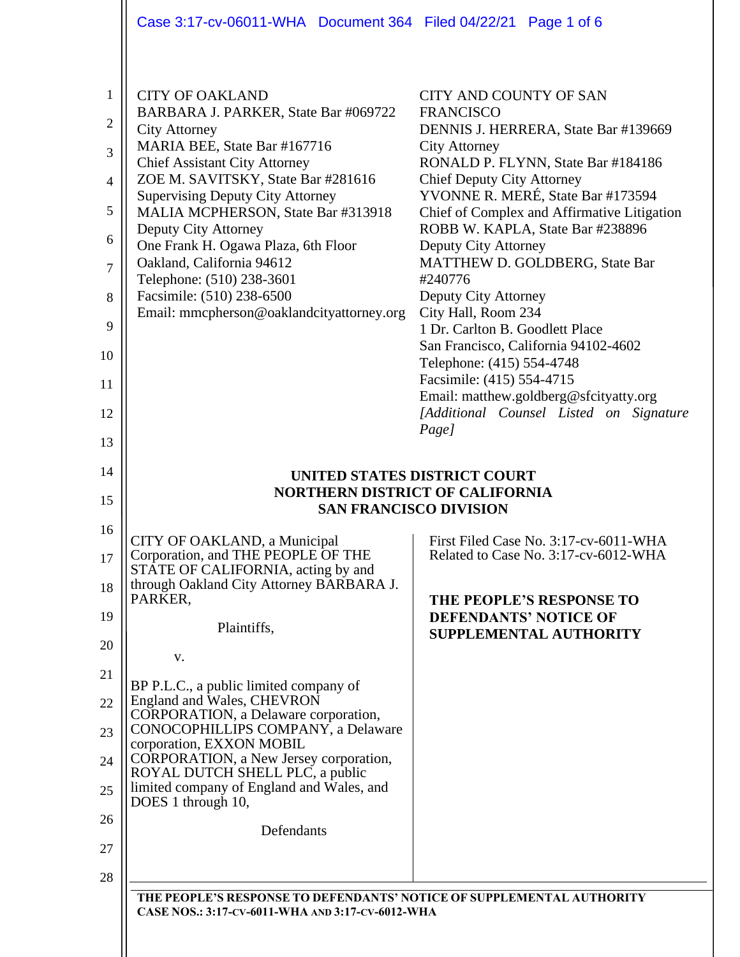|                                                                                                  | Case 3:17-cv-06011-WHA Document 364 Filed 04/22/21 Page 1 of 6                                                                                                                                                                                                                                                                                                                                                                                                                           |                                                                                                                                                                                                                                                                                                                                                                                                                                                                                                                                                                                                                                                             |  |  |  |
|--------------------------------------------------------------------------------------------------|------------------------------------------------------------------------------------------------------------------------------------------------------------------------------------------------------------------------------------------------------------------------------------------------------------------------------------------------------------------------------------------------------------------------------------------------------------------------------------------|-------------------------------------------------------------------------------------------------------------------------------------------------------------------------------------------------------------------------------------------------------------------------------------------------------------------------------------------------------------------------------------------------------------------------------------------------------------------------------------------------------------------------------------------------------------------------------------------------------------------------------------------------------------|--|--|--|
| $\mathbf{1}$<br>$\overline{2}$<br>3<br>$\overline{4}$<br>5<br>6<br>7<br>8<br>9<br>10<br>11<br>12 | <b>CITY OF OAKLAND</b><br>BARBARA J. PARKER, State Bar #069722<br><b>City Attorney</b><br>MARIA BEE, State Bar #167716<br><b>Chief Assistant City Attorney</b><br>ZOE M. SAVITSKY, State Bar #281616<br><b>Supervising Deputy City Attorney</b><br>MALIA MCPHERSON, State Bar #313918<br>Deputy City Attorney<br>One Frank H. Ogawa Plaza, 6th Floor<br>Oakland, California 94612<br>Telephone: (510) 238-3601<br>Facsimile: (510) 238-6500<br>Email: mmcpherson@oaklandcityattorney.org | CITY AND COUNTY OF SAN<br><b>FRANCISCO</b><br>DENNIS J. HERRERA, State Bar #139669<br><b>City Attorney</b><br>RONALD P. FLYNN, State Bar #184186<br><b>Chief Deputy City Attorney</b><br>YVONNE R. MERÉ, State Bar #173594<br>Chief of Complex and Affirmative Litigation<br>ROBB W. KAPLA, State Bar #238896<br>Deputy City Attorney<br>MATTHEW D. GOLDBERG, State Bar<br>#240776<br>Deputy City Attorney<br>City Hall, Room 234<br>1 Dr. Carlton B. Goodlett Place<br>San Francisco, California 94102-4602<br>Telephone: (415) 554-4748<br>Facsimile: (415) 554-4715<br>Email: matthew.goldberg@sfcityatty.org<br>[Additional Counsel Listed on Signature |  |  |  |
| 13                                                                                               |                                                                                                                                                                                                                                                                                                                                                                                                                                                                                          | Page]                                                                                                                                                                                                                                                                                                                                                                                                                                                                                                                                                                                                                                                       |  |  |  |
| 14<br>15                                                                                         | UNITED STATES DISTRICT COURT<br><b>NORTHERN DISTRICT OF CALIFORNIA</b><br><b>SAN FRANCISCO DIVISION</b>                                                                                                                                                                                                                                                                                                                                                                                  |                                                                                                                                                                                                                                                                                                                                                                                                                                                                                                                                                                                                                                                             |  |  |  |
| 16<br>17<br>18                                                                                   | CITY OF OAKLAND, a Municipal<br>Corporation, and THE PEOPLE OF THE<br>STATE OF CALIFORNIA, acting by and<br>through Oakland City Attorney BARBARA J.<br>PARKER,                                                                                                                                                                                                                                                                                                                          | First Filed Case No. 3:17-cv-6011-WHA<br>Related to Case No. 3:17-cv-6012-WHA                                                                                                                                                                                                                                                                                                                                                                                                                                                                                                                                                                               |  |  |  |
| 19                                                                                               | Plaintiffs,                                                                                                                                                                                                                                                                                                                                                                                                                                                                              | THE PEOPLE'S RESPONSE TO<br><b>DEFENDANTS' NOTICE OF</b><br>SUPPLEMENTAL AUTHORITY                                                                                                                                                                                                                                                                                                                                                                                                                                                                                                                                                                          |  |  |  |
| 20                                                                                               | V.                                                                                                                                                                                                                                                                                                                                                                                                                                                                                       |                                                                                                                                                                                                                                                                                                                                                                                                                                                                                                                                                                                                                                                             |  |  |  |
| 21<br>22                                                                                         | BP P.L.C., a public limited company of<br>England and Wales, CHEVRON                                                                                                                                                                                                                                                                                                                                                                                                                     |                                                                                                                                                                                                                                                                                                                                                                                                                                                                                                                                                                                                                                                             |  |  |  |
| 23                                                                                               | CORPORATION, a Delaware corporation,<br>CONOCOPHILLIPS COMPANY, a Delaware                                                                                                                                                                                                                                                                                                                                                                                                               |                                                                                                                                                                                                                                                                                                                                                                                                                                                                                                                                                                                                                                                             |  |  |  |
| 24                                                                                               | corporation, EXXON MOBIL<br>CORPORATION, a New Jersey corporation,<br>ROYAL DUTCH SHELL PLC, a public                                                                                                                                                                                                                                                                                                                                                                                    |                                                                                                                                                                                                                                                                                                                                                                                                                                                                                                                                                                                                                                                             |  |  |  |
| 25                                                                                               | limited company of England and Wales, and<br>DOES 1 through 10,                                                                                                                                                                                                                                                                                                                                                                                                                          |                                                                                                                                                                                                                                                                                                                                                                                                                                                                                                                                                                                                                                                             |  |  |  |
| 26                                                                                               | Defendants                                                                                                                                                                                                                                                                                                                                                                                                                                                                               |                                                                                                                                                                                                                                                                                                                                                                                                                                                                                                                                                                                                                                                             |  |  |  |
| 27<br>28                                                                                         |                                                                                                                                                                                                                                                                                                                                                                                                                                                                                          |                                                                                                                                                                                                                                                                                                                                                                                                                                                                                                                                                                                                                                                             |  |  |  |
|                                                                                                  |                                                                                                                                                                                                                                                                                                                                                                                                                                                                                          |                                                                                                                                                                                                                                                                                                                                                                                                                                                                                                                                                                                                                                                             |  |  |  |
|                                                                                                  | THE PEOPLE'S RESPONSE TO DEFENDANTS' NOTICE OF SUPPLEMENTAL AUTHORITY<br>CASE NOS.: 3:17-CV-6011-WHA AND 3:17-CV-6012-WHA                                                                                                                                                                                                                                                                                                                                                                |                                                                                                                                                                                                                                                                                                                                                                                                                                                                                                                                                                                                                                                             |  |  |  |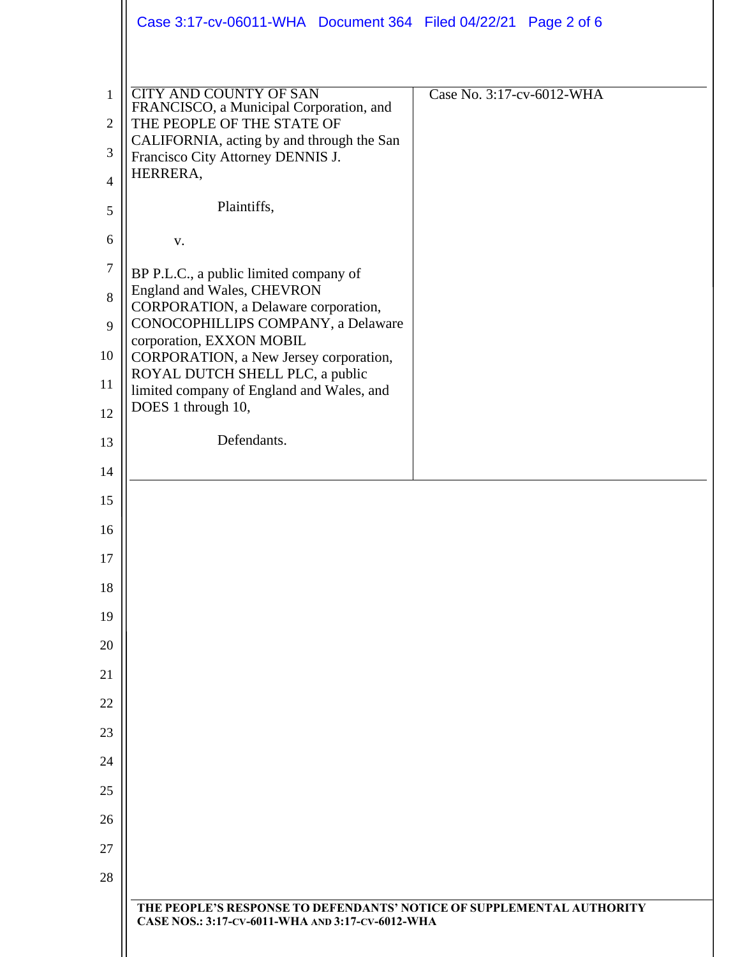|                | Case 3:17-cv-06011-WHA Document 364 Filed 04/22/21 Page 2 of 6                                                            |  |  |  |  |  |  |
|----------------|---------------------------------------------------------------------------------------------------------------------------|--|--|--|--|--|--|
|                |                                                                                                                           |  |  |  |  |  |  |
| $\mathbf{1}$   | <b>CITY AND COUNTY OF SAN</b><br>Case No. 3:17-cv-6012-WHA<br>FRANCISCO, a Municipal Corporation, and                     |  |  |  |  |  |  |
| $\overline{2}$ | THE PEOPLE OF THE STATE OF<br>CALIFORNIA, acting by and through the San                                                   |  |  |  |  |  |  |
| 3              | Francisco City Attorney DENNIS J.                                                                                         |  |  |  |  |  |  |
| $\overline{4}$ | HERRERA,                                                                                                                  |  |  |  |  |  |  |
| 5              | Plaintiffs,                                                                                                               |  |  |  |  |  |  |
| 6              | V.                                                                                                                        |  |  |  |  |  |  |
| $\tau$         | BP P.L.C., a public limited company of                                                                                    |  |  |  |  |  |  |
| 8              | England and Wales, CHEVRON<br>CORPORATION, a Delaware corporation,                                                        |  |  |  |  |  |  |
| 9              | CONOCOPHILLIPS COMPANY, a Delaware<br>corporation, EXXON MOBIL                                                            |  |  |  |  |  |  |
| 10             | CORPORATION, a New Jersey corporation,<br>ROYAL DUTCH SHELL PLC, a public                                                 |  |  |  |  |  |  |
| 11             | limited company of England and Wales, and<br>DOES 1 through 10,                                                           |  |  |  |  |  |  |
| 12             |                                                                                                                           |  |  |  |  |  |  |
| 13             | Defendants.                                                                                                               |  |  |  |  |  |  |
| 14             |                                                                                                                           |  |  |  |  |  |  |
| 15             |                                                                                                                           |  |  |  |  |  |  |
| 16             |                                                                                                                           |  |  |  |  |  |  |
| 17             |                                                                                                                           |  |  |  |  |  |  |
| 18<br>19       |                                                                                                                           |  |  |  |  |  |  |
| 20             |                                                                                                                           |  |  |  |  |  |  |
| 21             |                                                                                                                           |  |  |  |  |  |  |
| 22             |                                                                                                                           |  |  |  |  |  |  |
| 23             |                                                                                                                           |  |  |  |  |  |  |
| 24             |                                                                                                                           |  |  |  |  |  |  |
| 25             |                                                                                                                           |  |  |  |  |  |  |
| 26             |                                                                                                                           |  |  |  |  |  |  |
| 27             |                                                                                                                           |  |  |  |  |  |  |
| 28             |                                                                                                                           |  |  |  |  |  |  |
|                | THE PEOPLE'S RESPONSE TO DEFENDANTS' NOTICE OF SUPPLEMENTAL AUTHORITY<br>CASE NOS.: 3:17-CV-6011-WHA AND 3:17-CV-6012-WHA |  |  |  |  |  |  |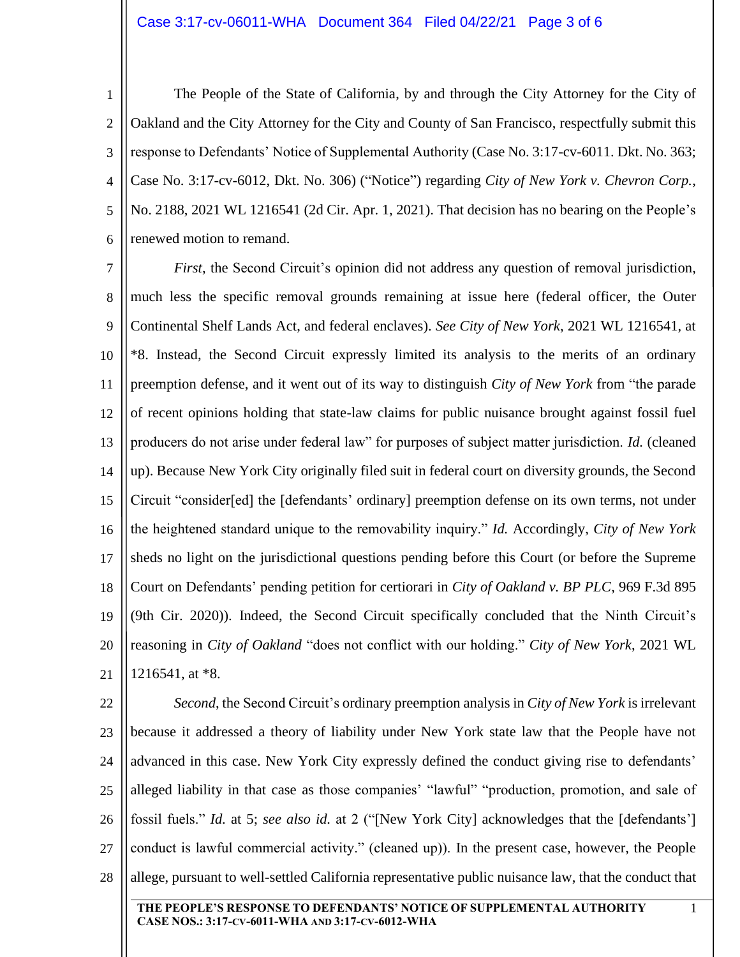## Case 3:17-cv-06011-WHA Document 364 Filed 04/22/21 Page 3 of 6

1 2 3 4 5 6 The People of the State of California, by and through the City Attorney for the City of Oakland and the City Attorney for the City and County of San Francisco, respectfully submit this response to Defendants' Notice of Supplemental Authority (Case No. 3:17-cv-6011. Dkt. No. 363; Case No. 3:17-cv-6012, Dkt. No. 306) ("Notice") regarding *City of New York v. Chevron Corp.*, No. 2188, 2021 WL 1216541 (2d Cir. Apr. 1, 2021). That decision has no bearing on the People's renewed motion to remand.

7 8 9 10 11 12 13 14 15 16 17 18 19 20 21 *First*, the Second Circuit's opinion did not address any question of removal jurisdiction, much less the specific removal grounds remaining at issue here (federal officer, the Outer Continental Shelf Lands Act, and federal enclaves). *See City of New York*, 2021 WL 1216541, at \*8. Instead, the Second Circuit expressly limited its analysis to the merits of an ordinary preemption defense, and it went out of its way to distinguish *City of New York* from "the parade of recent opinions holding that state-law claims for public nuisance brought against fossil fuel producers do not arise under federal law" for purposes of subject matter jurisdiction. *Id.* (cleaned up). Because New York City originally filed suit in federal court on diversity grounds, the Second Circuit "consider[ed] the [defendants' ordinary] preemption defense on its own terms, not under the heightened standard unique to the removability inquiry." *Id.* Accordingly, *City of New York* sheds no light on the jurisdictional questions pending before this Court (or before the Supreme Court on Defendants' pending petition for certiorari in *City of Oakland v. BP PLC*, 969 F.3d 895 (9th Cir. 2020)). Indeed, the Second Circuit specifically concluded that the Ninth Circuit's reasoning in *City of Oakland* "does not conflict with our holding." *City of New York*, 2021 WL 1216541, at \*8.

22 23 24 25 26 27 28 *Second*, the Second Circuit's ordinary preemption analysis in *City of New York* is irrelevant because it addressed a theory of liability under New York state law that the People have not advanced in this case. New York City expressly defined the conduct giving rise to defendants' alleged liability in that case as those companies' "lawful" "production, promotion, and sale of fossil fuels." *Id.* at 5; *see also id.* at 2 ("[New York City] acknowledges that the [defendants'] conduct is lawful commercial activity." (cleaned up)). In the present case, however, the People allege, pursuant to well-settled California representative public nuisance law, that the conduct that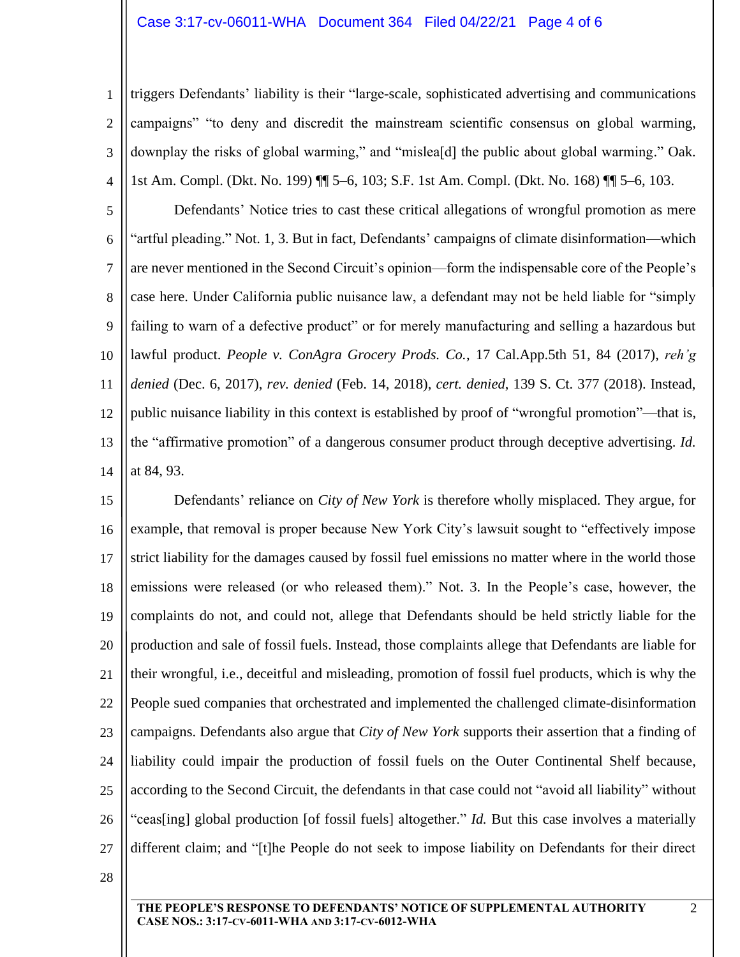## Case 3:17-cv-06011-WHA Document 364 Filed 04/22/21 Page 4 of 6

1 2 3 4 triggers Defendants' liability is their "large-scale, sophisticated advertising and communications campaigns" "to deny and discredit the mainstream scientific consensus on global warming, downplay the risks of global warming," and "mislea[d] the public about global warming." Oak. 1st Am. Compl. (Dkt. No. 199) ¶¶ 5–6, 103; S.F. 1st Am. Compl. (Dkt. No. 168) ¶¶ 5–6, 103.

5 6 7 8 9 10 11 12 13 14 Defendants' Notice tries to cast these critical allegations of wrongful promotion as mere "artful pleading." Not. 1, 3. But in fact, Defendants' campaigns of climate disinformation—which are never mentioned in the Second Circuit's opinion—form the indispensable core of the People's case here. Under California public nuisance law, a defendant may not be held liable for "simply failing to warn of a defective product" or for merely manufacturing and selling a hazardous but lawful product. *People v. ConAgra Grocery Prods. Co.*, 17 Cal.App.5th 51, 84 (2017), *reh'g denied* (Dec. 6, 2017), *rev. denied* (Feb. 14, 2018), *cert. denied*, 139 S. Ct. 377 (2018). Instead, public nuisance liability in this context is established by proof of "wrongful promotion"—that is, the "affirmative promotion" of a dangerous consumer product through deceptive advertising. *Id.* at 84, 93.

15 16 17 18 19 20 21 22 23 24 25 26 27 Defendants' reliance on *City of New York* is therefore wholly misplaced. They argue, for example, that removal is proper because New York City's lawsuit sought to "effectively impose strict liability for the damages caused by fossil fuel emissions no matter where in the world those emissions were released (or who released them)." Not. 3. In the People's case, however, the complaints do not, and could not, allege that Defendants should be held strictly liable for the production and sale of fossil fuels. Instead, those complaints allege that Defendants are liable for their wrongful, i.e., deceitful and misleading, promotion of fossil fuel products, which is why the People sued companies that orchestrated and implemented the challenged climate-disinformation campaigns. Defendants also argue that *City of New York* supports their assertion that a finding of liability could impair the production of fossil fuels on the Outer Continental Shelf because, according to the Second Circuit, the defendants in that case could not "avoid all liability" without "ceas[ing] global production [of fossil fuels] altogether." *Id.* But this case involves a materially different claim; and "[t]he People do not seek to impose liability on Defendants for their direct

28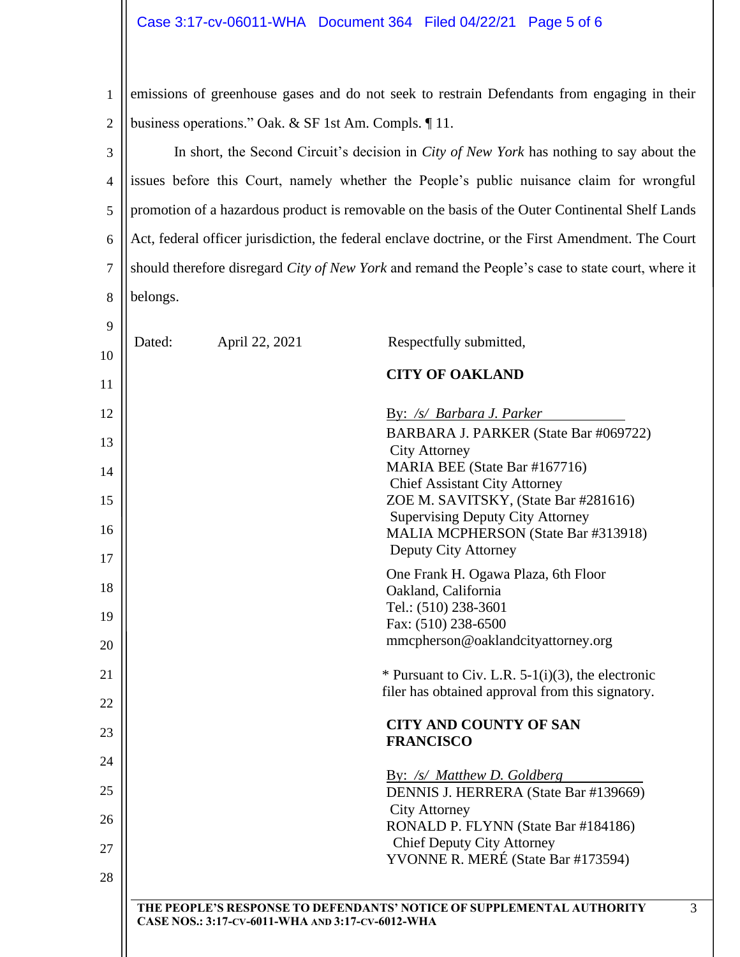1 2 emissions of greenhouse gases and do not seek to restrain Defendants from engaging in their business operations." Oak. & SF 1st Am. Compls. ¶ 11.

3 4 5 6 7 8 In short, the Second Circuit's decision in *City of New York* has nothing to say about the issues before this Court, namely whether the People's public nuisance claim for wrongful promotion of a hazardous product is removable on the basis of the Outer Continental Shelf Lands Act, federal officer jurisdiction, the federal enclave doctrine, or the First Amendment. The Court should therefore disregard *City of New York* and remand the People's case to state court, where it belongs.

9

| 10 | Dated: | April 22, 2021                                   | Respectfully submitted,                                                                                  |
|----|--------|--------------------------------------------------|----------------------------------------------------------------------------------------------------------|
| 11 |        |                                                  | <b>CITY OF OAKLAND</b>                                                                                   |
| 12 |        |                                                  | By: /s/ Barbara J. Parker                                                                                |
| 13 |        |                                                  | BARBARA J. PARKER (State Bar #069722)<br><b>City Attorney</b>                                            |
| 14 |        |                                                  | MARIA BEE (State Bar #167716)                                                                            |
| 15 |        |                                                  | <b>Chief Assistant City Attorney</b><br>ZOE M. SAVITSKY, (State Bar #281616)                             |
| 16 |        |                                                  | <b>Supervising Deputy City Attorney</b><br>MALIA MCPHERSON (State Bar #313918)<br>Deputy City Attorney   |
| 17 |        |                                                  | One Frank H. Ogawa Plaza, 6th Floor                                                                      |
| 18 |        |                                                  | Oakland, California                                                                                      |
| 19 |        |                                                  | Tel.: (510) 238-3601<br>Fax: (510) 238-6500                                                              |
| 20 |        |                                                  | mmcpherson@oaklandcityattorney.org                                                                       |
| 21 |        |                                                  | * Pursuant to Civ. L.R. $5-1(i)(3)$ , the electronic<br>filer has obtained approval from this signatory. |
| 22 |        |                                                  |                                                                                                          |
| 23 |        |                                                  | <b>CITY AND COUNTY OF SAN</b><br><b>FRANCISCO</b>                                                        |
| 24 |        |                                                  | By: /s/ Matthew D. Goldberg                                                                              |
| 25 |        |                                                  | DENNIS J. HERRERA (State Bar #139669)                                                                    |
| 26 |        |                                                  | <b>City Attorney</b><br>RONALD P. FLYNN (State Bar #184186)                                              |
| 27 |        |                                                  | <b>Chief Deputy City Attorney</b>                                                                        |
| 28 |        |                                                  | YVONNE R. MERÉ (State Bar #173594)                                                                       |
|    |        |                                                  | THE PEOPLE'S RESPONSE TO DEFENDANTS' NOTICE OF SUPPLEMENTAL AUTHORITY                                    |
|    |        | CASE NOS.: 3:17-CV-6011-WHA AND 3:17-CV-6012-WHA |                                                                                                          |
|    |        |                                                  |                                                                                                          |

3